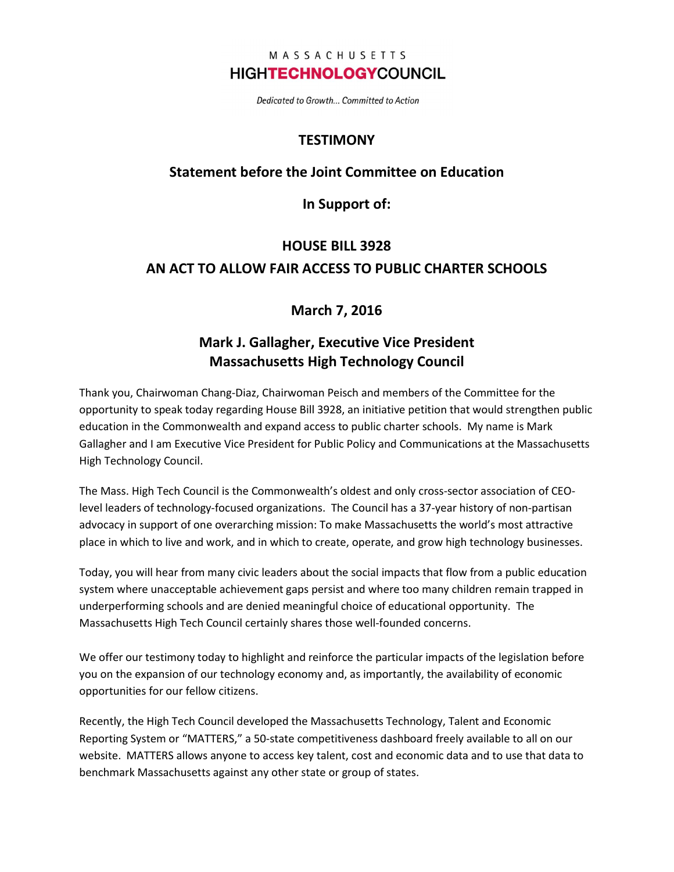### MASSACHUSETTS **HIGHTECHNOLOGYCOUNCIL**

Dedicated to Growth... Committed to Action

## **TESTIMONY**

### Statement before the Joint Committee on Education

In Support of:

# HOUSE BILL 3928 AN ACT TO ALLOW FAIR ACCESS TO PUBLIC CHARTER SCHOOLS

## March 7, 2016

## Mark J. Gallagher, Executive Vice President Massachusetts High Technology Council

Thank you, Chairwoman Chang-Diaz, Chairwoman Peisch and members of the Committee for the opportunity to speak today regarding House Bill 3928, an initiative petition that would strengthen public education in the Commonwealth and expand access to public charter schools. My name is Mark Gallagher and I am Executive Vice President for Public Policy and Communications at the Massachusetts High Technology Council.

The Mass. High Tech Council is the Commonwealth's oldest and only cross-sector association of CEOlevel leaders of technology-focused organizations. The Council has a 37-year history of non-partisan advocacy in support of one overarching mission: To make Massachusetts the world's most attractive place in which to live and work, and in which to create, operate, and grow high technology businesses.

Today, you will hear from many civic leaders about the social impacts that flow from a public education system where unacceptable achievement gaps persist and where too many children remain trapped in underperforming schools and are denied meaningful choice of educational opportunity. The Massachusetts High Tech Council certainly shares those well-founded concerns.

We offer our testimony today to highlight and reinforce the particular impacts of the legislation before you on the expansion of our technology economy and, as importantly, the availability of economic opportunities for our fellow citizens.

Recently, the High Tech Council developed the Massachusetts Technology, Talent and Economic Reporting System or "MATTERS," a 50-state competitiveness dashboard freely available to all on our website. MATTERS allows anyone to access key talent, cost and economic data and to use that data to benchmark Massachusetts against any other state or group of states.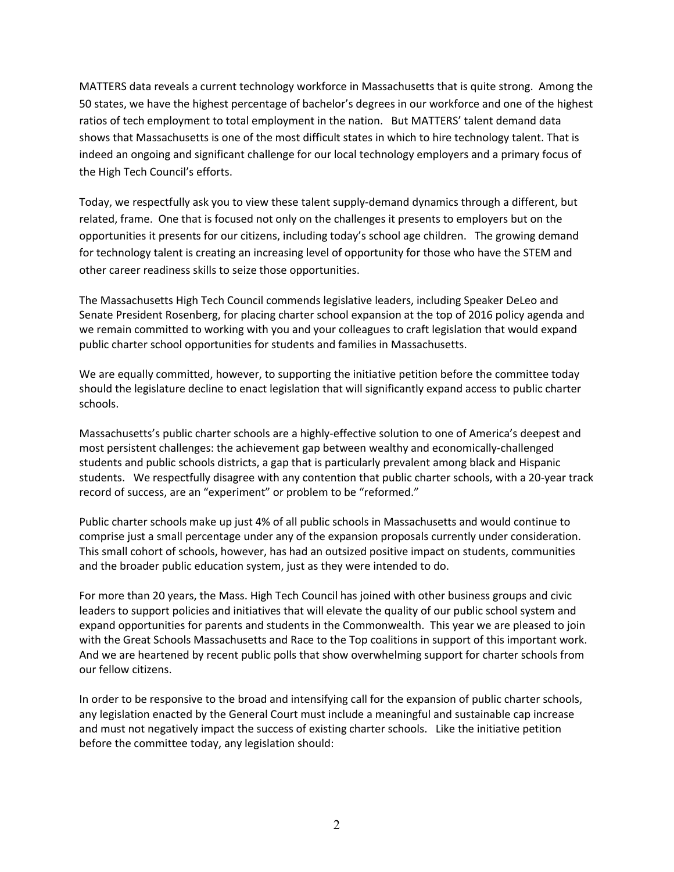MATTERS data reveals a current technology workforce in Massachusetts that is quite strong. Among the 50 states, we have the highest percentage of bachelor's degrees in our workforce and one of the highest ratios of tech employment to total employment in the nation. But MATTERS' talent demand data shows that Massachusetts is one of the most difficult states in which to hire technology talent. That is indeed an ongoing and significant challenge for our local technology employers and a primary focus of the High Tech Council's efforts.

Today, we respectfully ask you to view these talent supply-demand dynamics through a different, but related, frame. One that is focused not only on the challenges it presents to employers but on the opportunities it presents for our citizens, including today's school age children. The growing demand for technology talent is creating an increasing level of opportunity for those who have the STEM and other career readiness skills to seize those opportunities.

The Massachusetts High Tech Council commends legislative leaders, including Speaker DeLeo and Senate President Rosenberg, for placing charter school expansion at the top of 2016 policy agenda and we remain committed to working with you and your colleagues to craft legislation that would expand public charter school opportunities for students and families in Massachusetts.

We are equally committed, however, to supporting the initiative petition before the committee today should the legislature decline to enact legislation that will significantly expand access to public charter schools.

Massachusetts's public charter schools are a highly-effective solution to one of America's deepest and most persistent challenges: the achievement gap between wealthy and economically-challenged students and public schools districts, a gap that is particularly prevalent among black and Hispanic students. We respectfully disagree with any contention that public charter schools, with a 20-year track record of success, are an "experiment" or problem to be "reformed."

Public charter schools make up just 4% of all public schools in Massachusetts and would continue to comprise just a small percentage under any of the expansion proposals currently under consideration. This small cohort of schools, however, has had an outsized positive impact on students, communities and the broader public education system, just as they were intended to do.

For more than 20 years, the Mass. High Tech Council has joined with other business groups and civic leaders to support policies and initiatives that will elevate the quality of our public school system and expand opportunities for parents and students in the Commonwealth. This year we are pleased to join with the Great Schools Massachusetts and Race to the Top coalitions in support of this important work. And we are heartened by recent public polls that show overwhelming support for charter schools from our fellow citizens.

In order to be responsive to the broad and intensifying call for the expansion of public charter schools, any legislation enacted by the General Court must include a meaningful and sustainable cap increase and must not negatively impact the success of existing charter schools. Like the initiative petition before the committee today, any legislation should: